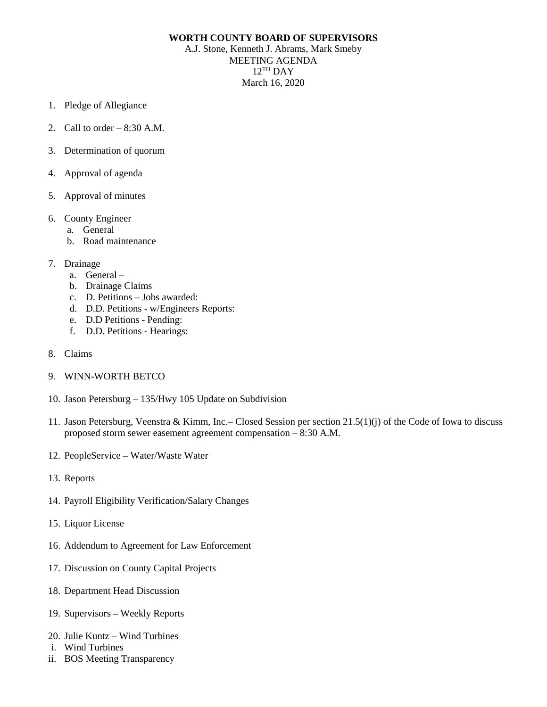## **WORTH COUNTY BOARD OF SUPERVISORS**

A.J. Stone, Kenneth J. Abrams, Mark Smeby MEETING AGENDA  $12$ <sup>TH</sup> DAY March 16, 2020

- 1. Pledge of Allegiance
- 2. Call to order  $-8:30$  A.M.
- 3. Determination of quorum
- 4. Approval of agenda
- 5. Approval of minutes
- 6. County Engineer
	- a. General
	- b. Road maintenance
- 7. Drainage
	- a. General –
	- b. Drainage Claims
	- c. D. Petitions Jobs awarded:
	- d. D.D. Petitions w/Engineers Reports:
	- e. D.D Petitions Pending:
	- f. D.D. Petitions Hearings:
- 8. Claims
- 9. WINN-WORTH BETCO
- 10. Jason Petersburg 135/Hwy 105 Update on Subdivision
- 11. Jason Petersburg, Veenstra & Kimm, Inc.– Closed Session per section 21.5(1)(j) of the Code of Iowa to discuss proposed storm sewer easement agreement compensation – 8:30 A.M.
- 12. PeopleService Water/Waste Water
- 13. Reports
- 14. Payroll Eligibility Verification/Salary Changes
- 15. Liquor License
- 16. Addendum to Agreement for Law Enforcement
- 17. Discussion on County Capital Projects
- 18. Department Head Discussion
- 19. Supervisors Weekly Reports
- 20. Julie Kuntz Wind Turbines
- i. Wind Turbines
- ii. BOS Meeting Transparency